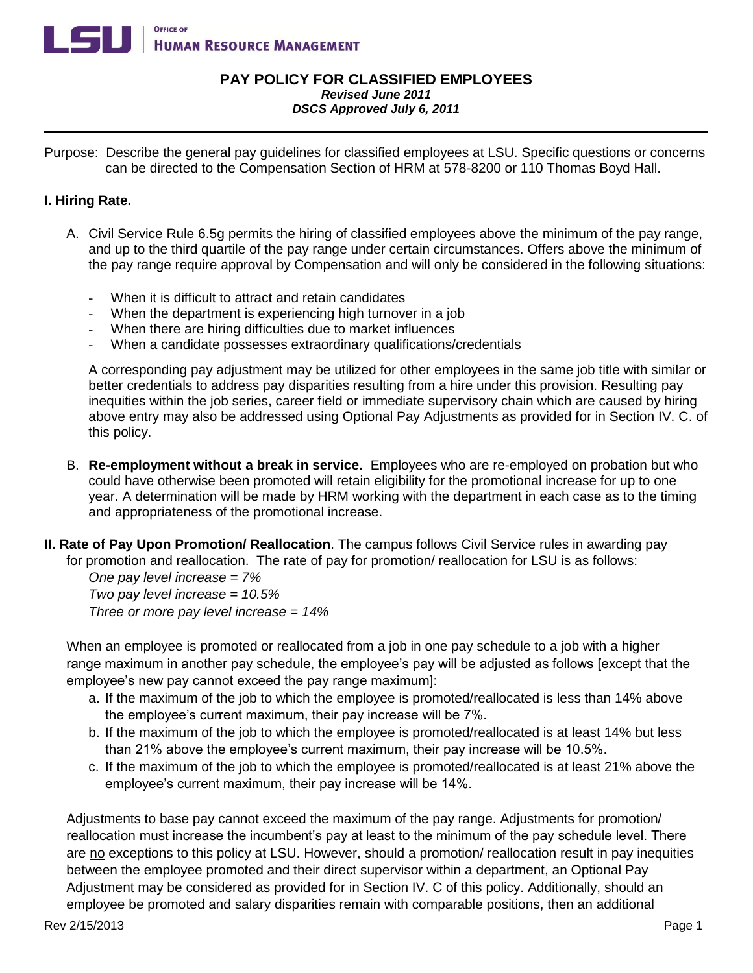

## **PAY POLICY FOR CLASSIFIED EMPLOYEES** *Revised June 2011 DSCS Approved July 6, 2011*

Purpose: Describe the general pay guidelines for classified employees at LSU. Specific questions or concerns can be directed to the Compensation Section of HRM at 578-8200 or 110 Thomas Boyd Hall.

## **I. Hiring Rate.**

- A. Civil Service Rule 6.5g permits the hiring of classified employees above the minimum of the pay range, and up to the third quartile of the pay range under certain circumstances. Offers above the minimum of the pay range require approval by Compensation and will only be considered in the following situations:
	- When it is difficult to attract and retain candidates
	- When the department is experiencing high turnover in a job
	- When there are hiring difficulties due to market influences
	- When a candidate possesses extraordinary qualifications/credentials

A corresponding pay adjustment may be utilized for other employees in the same job title with similar or better credentials to address pay disparities resulting from a hire under this provision. Resulting pay inequities within the job series, career field or immediate supervisory chain which are caused by hiring above entry may also be addressed using Optional Pay Adjustments as provided for in Section IV. C. of this policy.

- B. **Re-employment without a break in service.** Employees who are re-employed on probation but who could have otherwise been promoted will retain eligibility for the promotional increase for up to one year. A determination will be made by HRM working with the department in each case as to the timing and appropriateness of the promotional increase.
- **II. Rate of Pay Upon Promotion/ Reallocation**. The campus follows Civil Service rules in awarding pay for promotion and reallocation. The rate of pay for promotion/ reallocation for LSU is as follows:

*One pay level increase = 7% Two pay level increase = 10.5% Three or more pay level increase = 14%* 

When an employee is promoted or reallocated from a job in one pay schedule to a job with a higher range maximum in another pay schedule, the employee's pay will be adjusted as follows [except that the employee's new pay cannot exceed the pay range maximum]:

- a. If the maximum of the job to which the employee is promoted/reallocated is less than 14% above the employee's current maximum, their pay increase will be 7%.
- b. If the maximum of the job to which the employee is promoted/reallocated is at least 14% but less than 21% above the employee's current maximum, their pay increase will be 10.5%.
- c. If the maximum of the job to which the employee is promoted/reallocated is at least 21% above the employee's current maximum, their pay increase will be 14%.

Adjustments to base pay cannot exceed the maximum of the pay range. Adjustments for promotion/ reallocation must increase the incumbent's pay at least to the minimum of the pay schedule level. There are no exceptions to this policy at LSU. However, should a promotion/ reallocation result in pay inequities between the employee promoted and their direct supervisor within a department, an Optional Pay Adjustment may be considered as provided for in Section IV. C of this policy. Additionally, should an employee be promoted and salary disparities remain with comparable positions, then an additional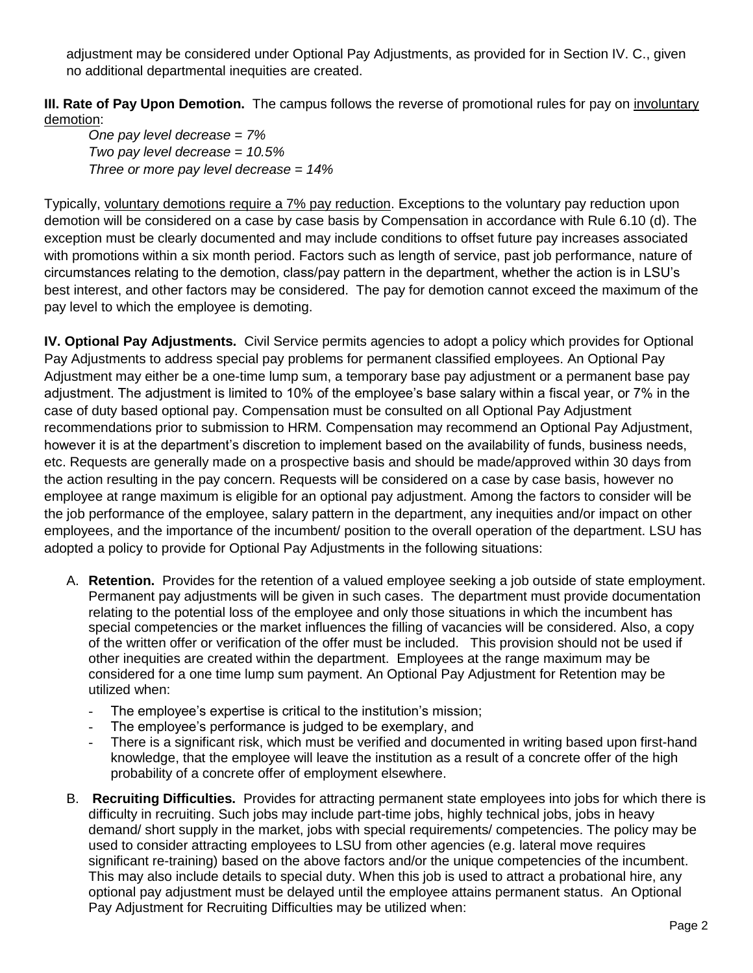adjustment may be considered under Optional Pay Adjustments, as provided for in Section IV. C., given no additional departmental inequities are created.

**III. Rate of Pay Upon Demotion.** The campus follows the reverse of promotional rules for pay on involuntary demotion:

*One pay level decrease = 7% Two pay level decrease = 10.5% Three or more pay level decrease = 14%* 

Typically, voluntary demotions require a 7% pay reduction. Exceptions to the voluntary pay reduction upon demotion will be considered on a case by case basis by Compensation in accordance with Rule 6.10 (d). The exception must be clearly documented and may include conditions to offset future pay increases associated with promotions within a six month period. Factors such as length of service, past job performance, nature of circumstances relating to the demotion, class/pay pattern in the department, whether the action is in LSU's best interest, and other factors may be considered. The pay for demotion cannot exceed the maximum of the pay level to which the employee is demoting.

**IV. Optional Pay Adjustments.** Civil Service permits agencies to adopt a policy which provides for Optional Pay Adjustments to address special pay problems for permanent classified employees. An Optional Pay Adjustment may either be a one-time lump sum, a temporary base pay adjustment or a permanent base pay adjustment. The adjustment is limited to 10% of the employee's base salary within a fiscal year, or 7% in the case of duty based optional pay. Compensation must be consulted on all Optional Pay Adjustment recommendations prior to submission to HRM. Compensation may recommend an Optional Pay Adjustment, however it is at the department's discretion to implement based on the availability of funds, business needs, etc. Requests are generally made on a prospective basis and should be made/approved within 30 days from the action resulting in the pay concern. Requests will be considered on a case by case basis, however no employee at range maximum is eligible for an optional pay adjustment. Among the factors to consider will be the job performance of the employee, salary pattern in the department, any inequities and/or impact on other employees, and the importance of the incumbent/ position to the overall operation of the department. LSU has adopted a policy to provide for Optional Pay Adjustments in the following situations:

- A. **Retention.** Provides for the retention of a valued employee seeking a job outside of state employment. Permanent pay adjustments will be given in such cases. The department must provide documentation relating to the potential loss of the employee and only those situations in which the incumbent has special competencies or the market influences the filling of vacancies will be considered. Also, a copy of the written offer or verification of the offer must be included. This provision should not be used if other inequities are created within the department. Employees at the range maximum may be considered for a one time lump sum payment. An Optional Pay Adjustment for Retention may be utilized when:
	- The employee's expertise is critical to the institution's mission;
	- The employee's performance is judged to be exemplary, and
	- There is a significant risk, which must be verified and documented in writing based upon first-hand knowledge, that the employee will leave the institution as a result of a concrete offer of the high probability of a concrete offer of employment elsewhere.
- B. **Recruiting Difficulties.** Provides for attracting permanent state employees into jobs for which there is difficulty in recruiting. Such jobs may include part-time jobs, highly technical jobs, jobs in heavy demand/ short supply in the market, jobs with special requirements/ competencies. The policy may be used to consider attracting employees to LSU from other agencies (e.g. lateral move requires significant re-training) based on the above factors and/or the unique competencies of the incumbent. This may also include details to special duty. When this job is used to attract a probational hire, any optional pay adjustment must be delayed until the employee attains permanent status. An Optional Pay Adjustment for Recruiting Difficulties may be utilized when: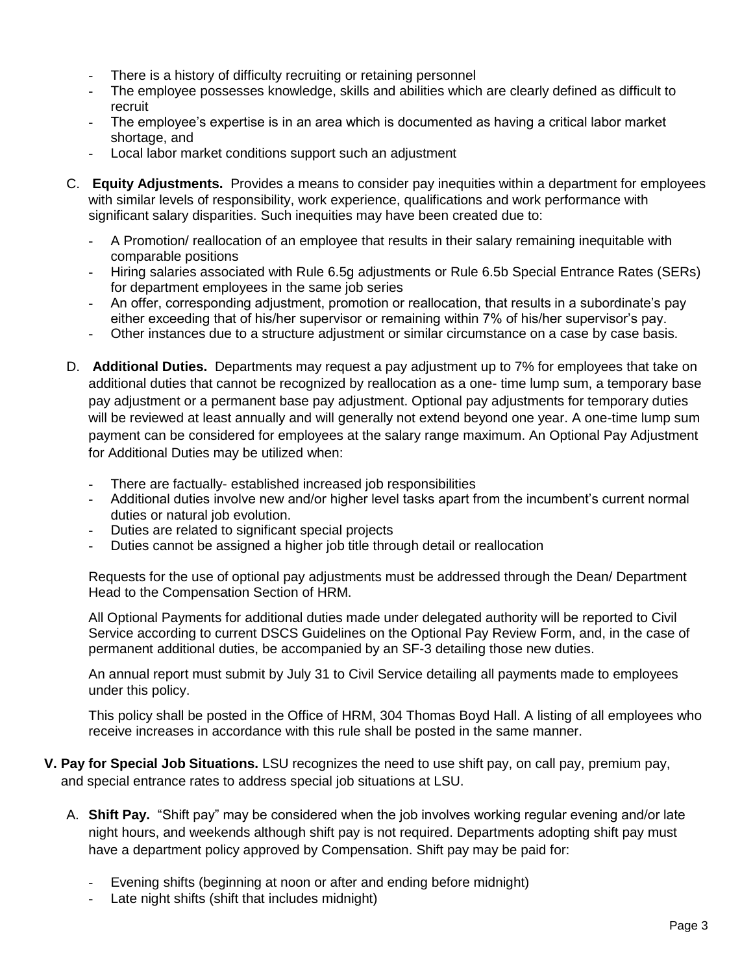- There is a history of difficulty recruiting or retaining personnel
- The employee possesses knowledge, skills and abilities which are clearly defined as difficult to recruit
- The employee's expertise is in an area which is documented as having a critical labor market shortage, and
- Local labor market conditions support such an adjustment
- C. **Equity Adjustments.** Provides a means to consider pay inequities within a department for employees with similar levels of responsibility, work experience, qualifications and work performance with significant salary disparities. Such inequities may have been created due to:
	- A Promotion/ reallocation of an employee that results in their salary remaining inequitable with comparable positions
	- Hiring salaries associated with Rule 6.5g adjustments or Rule 6.5b Special Entrance Rates (SERs) for department employees in the same job series
	- An offer, corresponding adjustment, promotion or reallocation, that results in a subordinate's pay either exceeding that of his/her supervisor or remaining within 7% of his/her supervisor's pay.
	- Other instances due to a structure adjustment or similar circumstance on a case by case basis.
- D. **Additional Duties.** Departments may request a pay adjustment up to 7% for employees that take on additional duties that cannot be recognized by reallocation as a one- time lump sum, a temporary base pay adjustment or a permanent base pay adjustment. Optional pay adjustments for temporary duties will be reviewed at least annually and will generally not extend beyond one year. A one-time lump sum payment can be considered for employees at the salary range maximum. An Optional Pay Adjustment for Additional Duties may be utilized when:
	- There are factually- established increased job responsibilities
	- Additional duties involve new and/or higher level tasks apart from the incumbent's current normal duties or natural job evolution.
	- Duties are related to significant special projects
	- Duties cannot be assigned a higher job title through detail or reallocation

Requests for the use of optional pay adjustments must be addressed through the Dean/ Department Head to the Compensation Section of HRM.

All Optional Payments for additional duties made under delegated authority will be reported to Civil Service according to current DSCS Guidelines on the Optional Pay Review Form, and, in the case of permanent additional duties, be accompanied by an SF-3 detailing those new duties.

An annual report must submit by July 31 to Civil Service detailing all payments made to employees under this policy.

This policy shall be posted in the Office of HRM, 304 Thomas Boyd Hall. A listing of all employees who receive increases in accordance with this rule shall be posted in the same manner.

- **V. Pay for Special Job Situations.** LSU recognizes the need to use shift pay, on call pay, premium pay, and special entrance rates to address special job situations at LSU.
	- A. **Shift Pay.** "Shift pay" may be considered when the job involves working regular evening and/or late night hours, and weekends although shift pay is not required. Departments adopting shift pay must have a department policy approved by Compensation. Shift pay may be paid for:
		- Evening shifts (beginning at noon or after and ending before midnight)
		- Late night shifts (shift that includes midnight)